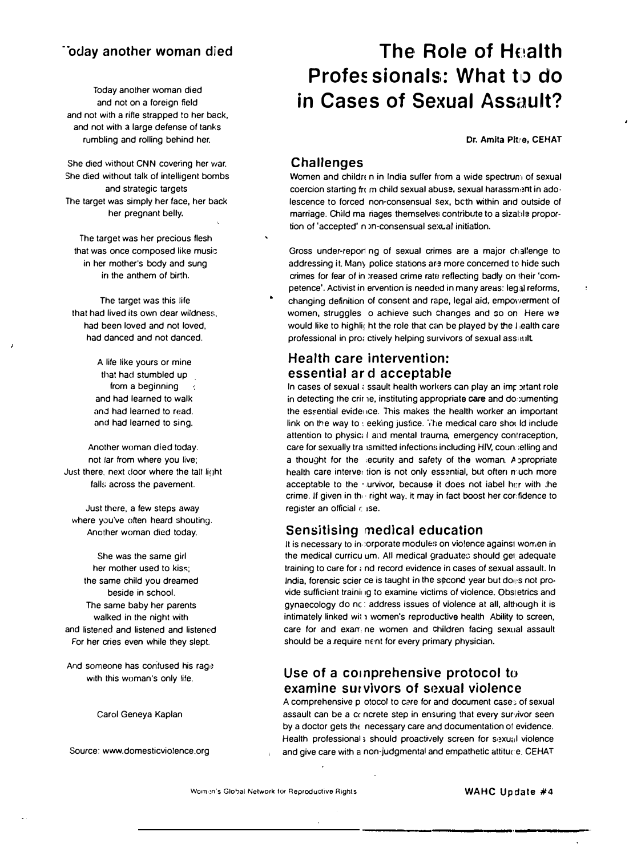### ··oday another woman died

Today another woman died and not on a foreign field and not with a rifle strapped to her back, and not with a large defense of tanks rumbling and rolling behind her.

She died without CNN covering her war. She died without talk of intelligent bombs and strategic targets The target was simply her face, her back her pregnant belly.

The target was her precious flesh that was once composed like music in her mother's body and sung in the anthem of birth.

The target was this life that had lived its own dear wildness, had been loved and not loved, had danced and not danced.

> A life like yours or mine that had stumbled up from a beginning and had learned to walk and had learned to read. and had learned to sing.

Another woman died today. not tar from where you live; Just there, next door where the tall light falls across the pavement.

Just there, a few steps away where you've often heard shouting. Another woman died today.

She was the same girl her mother used to kiss; the same child you dreamed beside in school. The same baby her parents walked in the night with and listened and listened and listened For her cries even while they slept.

And someone has contused his rage with this woman's only life,

Carol Geneya Kaplan

Source: www.domesticviolence.org

# The, Role of Health Profes sionals: What to do in Cases of Sexual Assault?

Dr. Amita Pitre, CEHAT

 $\bar{\mathbf{r}}$ 

#### Challenges

Women and childr n in India suffer from a wide spectrum of sexual coercion starting from child sexual abuse, sexual harassment in adolescence to forced non-consensual sex, both within and outside of marriage. Child ma riages themselves contribute to a sizable proportion of 'accepted' n >n-consensual sexual initiation.

Gross under-report ng of sexual crimes are a major challenge to addressing it. Many police stations are more concerned to hide such crimes for fear of in treased crime rate reflecting badly on their 'competence'. Activist in ervention is needed in many areas: leg;al reforms, changing definition of consent and rape, legal aid, empoyverment of women, struggles o achieve such changes and so on Here we would like to highlight the role that can be played by the I lealth care professional in prot ctively helping survivors of sexual assault.

#### Health care intervention: essential ar d acceptable

In cases of sexual  $\epsilon$  ssault health workers can play an imp ortant role in detecting the crir 1e, instituting appropriate care and do; umenting the essential evidence. This makes the health worker an important link on the way to : eeking justice. The medical care shot ld include attention to physic; I and mental trauma, emergency contraception, care for sexually transmitted infections including HIV, counselling and a thought for the security and safety of the woman. Appropriate health care interver tion is not only essential, but often n uch more acceptable to the .urvivor, because it does not iabel her with the crime. If given in the right way, it may in fact boost her cor:fidence to register an official c 1Se.

#### Sensitising medical education

It is necessary to incorporate modules on violence against women in the medical curricu um. All medical graduates should get adequate training to care for  $\epsilon$  nd record evidence in cases of sexual assault. In India, forensic scier ce is taught in the second year but does not provide sufficient training to examine victims of violence. Obstetrics and gynaecology do nc : address issues of violence at all, although it is intimately linked wit 1 women's reproductive health Ability to screen, care for and exam ne women and children facing sexual assault should be a require nent for every primary physician.

#### Use of a comprehensive protocol to examine survivors of sexual violence

A comprehensive p otocol to care for and document case; of sexual assault can be a cc ncrete step in ensuring that every survivor seen by a doctor gets the necessary care and documentation of evidence. Health professional s should proactively screen for sexual violence and give care with a non-judgmental and empathetic attiture. CEHAT

Women's Global Network for Reproductive Rights WAHC Update #4